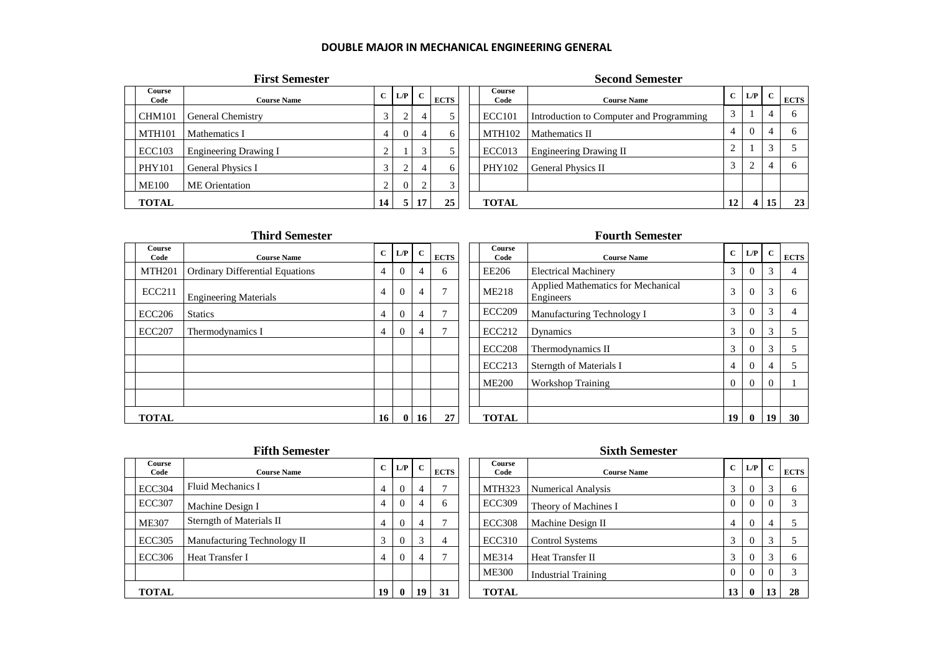## **DOUBLE MAJOR IN MECHANICAL ENGINEERING GENERAL**

|                       | <b>First Semester</b>        |              |                |        |                |                | <b>Second Semester</b>                   |           |                |    |             |
|-----------------------|------------------------------|--------------|----------------|--------|----------------|----------------|------------------------------------------|-----------|----------------|----|-------------|
| <b>Course</b><br>Code | <b>Course Name</b>           | $\mathbf{C}$ | $L/P$ C        |        | <b>ECTS</b>    | Course<br>Code | <b>Course Name</b>                       |           | $C$ $L/P$      |    | <b>ECTS</b> |
| <b>CHM101</b>         | General Chemistry            |              | $\sim$<br>∠    | 4      | 5 <sup>1</sup> | <b>ECC101</b>  | Introduction to Computer and Programming | 3         |                |    | 6           |
| <b>MTH101</b>         | Mathematics I                | 4            | $\overline{0}$ | 4      | 6              | MTH102         | Mathematics II                           | 4         |                |    | 6           |
| <b>ECC103</b>         | <b>Engineering Drawing I</b> | ◠<br>∠       |                | $\sim$ | 5              | ECC013         | <b>Engineering Drawing II</b>            | $\bigcap$ |                |    |             |
| <b>PHY101</b>         | General Physics I            |              | $\sim$<br>∠    | 4      | 6              | PHY102         | <b>General Physics II</b>                | 3         |                |    | 6           |
| <b>ME100</b>          | ME Orientation               | 2            | $\overline{0}$ | $\sim$ | 3              |                |                                          |           |                |    |             |
| <b>TOTAL</b>          |                              | 14           | 5 <sup>1</sup> | 17     | 25             | <b>TOTAL</b>   |                                          | 12        | $\overline{4}$ | 15 | 23          |

|                | <b>Third Semester</b>                  |                |          |    |             |                | <b>Fourth Semester</b>                          |                |              |              |             |
|----------------|----------------------------------------|----------------|----------|----|-------------|----------------|-------------------------------------------------|----------------|--------------|--------------|-------------|
| Course<br>Code | <b>Course Name</b>                     | $\mathbf{C}$   | $L/P$ C  |    | <b>ECTS</b> | Course<br>Code | <b>Course Name</b>                              | $\mathbf{C}$   | L/P          | $\mathbf{C}$ | <b>ECTS</b> |
| <b>MTH201</b>  | <b>Ordinary Differential Equations</b> | $\overline{4}$ |          | 4  | 6           | EE206          | <b>Electrical Machinery</b>                     | 3              |              | 3            |             |
| ECC211         | <b>Engineering Materials</b>           | $\overline{4}$ |          | 4  | 7           | <b>ME218</b>   | Applied Mathematics for Mechanical<br>Engineers | 3              | $\theta$     | 3            | h           |
| <b>ECC206</b>  | <b>Statics</b>                         | 4              | $\Omega$ | 4  |             | <b>ECC209</b>  | Manufacturing Technology I                      | 3              |              | 3            |             |
| ECC207         | Thermodynamics I                       | 4              |          | 4  |             | <b>ECC212</b>  | Dynamics                                        | 3              |              | 3            |             |
|                |                                        |                |          |    |             | <b>ECC208</b>  | Thermodynamics II                               | 3              |              | 3            |             |
|                |                                        |                |          |    |             | <b>ECC213</b>  | Sterngth of Materials I                         | 4              |              |              |             |
|                |                                        |                |          |    |             | <b>ME200</b>   | <b>Workshop Training</b>                        | $\overline{0}$ | $\theta$     | $\Omega$     |             |
|                |                                        |                |          |    |             |                |                                                 |                |              |              |             |
| <b>TOTAL</b>   |                                        | 16             | $\bf{0}$ | 16 | 27          | <b>TOTAL</b>   |                                                 | 19             | $\mathbf{0}$ | 19           | 30          |

|                       | <b>Fifth Semester</b>       |              |           |    |             |                       | <b>Sixth Semester</b>      |          |                |        |              |
|-----------------------|-----------------------------|--------------|-----------|----|-------------|-----------------------|----------------------------|----------|----------------|--------|--------------|
| <b>Course</b><br>Code | <b>Course Name</b>          | $\mathbf{C}$ | $L/P$ $C$ |    | <b>ECTS</b> | <b>Course</b><br>Code | <b>Course Name</b>         |          | $C$ $L/P$ $C$  |        | <b>ECTS</b>  |
| <b>ECC304</b>         | Fluid Mechanics I           | 4            | $\Omega$  | 4  |             | <b>MTH323</b>         | Numerical Analysis         | 3        | $\theta$       |        | <sub>0</sub> |
| <b>ECC307</b>         | Machine Design I            | 4            | $\Omega$  | 4  | h           | ECC309                | Theory of Machines I       | $\theta$ | $\Omega$       |        |              |
| <b>ME307</b>          | Sterngth of Materials II    | 4            | $\Omega$  | 4  |             | <b>ECC308</b>         | Machine Design II          | 4        | $\Omega$       | 4      |              |
| <b>ECC305</b>         | Manufacturing Technology II | 3            | $\Omega$  | 3  | 4           | <b>ECC310</b>         | <b>Control Systems</b>     | 3        | $\overline{0}$ | $\sim$ |              |
| <b>ECC306</b>         | Heat Transfer I             | 4            | $\Omega$  | 4  |             | ME314                 | Heat Transfer II           | 3        | $\Omega$       | $\sim$ |              |
|                       |                             |              |           |    |             | <b>ME300</b>          | <b>Industrial Training</b> | $\theta$ | $\Omega$       |        |              |
| <b>TOTAL</b>          |                             | 19           |           | 19 | 31          | <b>TOTAL</b>          |                            | 13       | $\bf{0}$       | 13     | 28           |